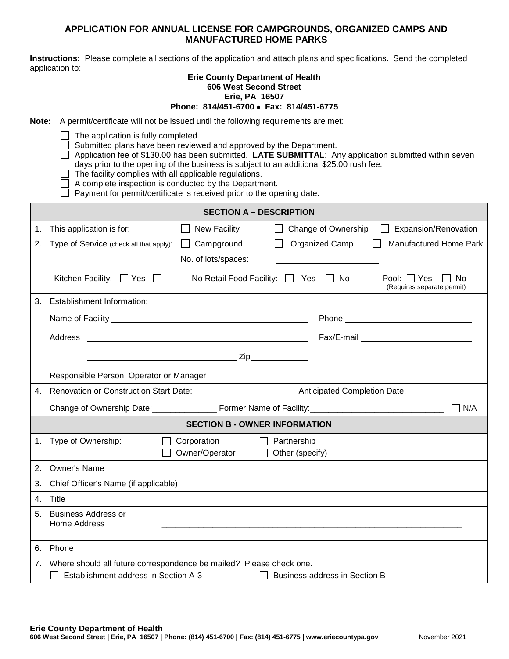## **APPLICATION FOR ANNUAL LICENSE FOR CAMPGROUNDS, ORGANIZED CAMPS AND MANUFACTURED HOME PARKS**

**Instructions:** Please complete all sections of the application and attach plans and specifications. Send the completed application to:

## **Erie County Department of Health 606 West Second Street Erie, PA 16507**

## **Phone: 814/451-6700** • **Fax: 814/451-6775**

**Note:** A permit/certificate will not be issued until the following requirements are met:

 $\Box$  The application is fully completed.

Submitted plans have been reviewed and approved by the Department.

□ Application fee of \$130.00 has been submitted. **LATE SUBMITTAL:** Any application submitted within seven days prior to the opening of the business is subject to an additional \$25.00 rush fee.

 $\Box$  The facility complies with all applicable regulations.

٦ A complete inspection is conducted by the Department.

 $\Box$  Payment for permit/certificate is received prior to the opening date.

| <b>SECTION A - DESCRIPTION</b>       |                                                                                     |                                               |                               |                                                      |  |  |  |  |
|--------------------------------------|-------------------------------------------------------------------------------------|-----------------------------------------------|-------------------------------|------------------------------------------------------|--|--|--|--|
| 1.                                   | This application is for:<br>$\mathsf{L}$                                            | New Facility                                  | Change of Ownership           | Expansion/Renovation                                 |  |  |  |  |
| 2.                                   | Type of Service (check all that apply):<br>$\perp$                                  | Campground                                    | Organized Camp                | <b>Manufactured Home Park</b>                        |  |  |  |  |
|                                      |                                                                                     | No. of lots/spaces:                           |                               |                                                      |  |  |  |  |
|                                      | Kitchen Facility: $\Box$ Yes $\Box$                                                 | No Retail Food Facility: $\Box$ Yes $\Box$ No |                               | Pool: $\Box$ Yes<br>No<br>(Requires separate permit) |  |  |  |  |
| 3.                                   | <b>Establishment Information:</b>                                                   |                                               |                               |                                                      |  |  |  |  |
|                                      |                                                                                     |                                               |                               |                                                      |  |  |  |  |
|                                      | Address                                                                             |                                               |                               |                                                      |  |  |  |  |
|                                      |                                                                                     |                                               |                               |                                                      |  |  |  |  |
|                                      |                                                                                     |                                               |                               |                                                      |  |  |  |  |
|                                      |                                                                                     |                                               |                               |                                                      |  |  |  |  |
| 4.                                   |                                                                                     |                                               |                               |                                                      |  |  |  |  |
|                                      | Change of Ownership Date: Former Name of Facility: Change of Ownership Date:<br>N/A |                                               |                               |                                                      |  |  |  |  |
| <b>SECTION B - OWNER INFORMATION</b> |                                                                                     |                                               |                               |                                                      |  |  |  |  |
|                                      | 1. Type of Ownership:                                                               | Corporation<br>Owner/Operator                 | Partnership                   |                                                      |  |  |  |  |
| 2.                                   | <b>Owner's Name</b>                                                                 |                                               |                               |                                                      |  |  |  |  |
| 3.                                   | Chief Officer's Name (if applicable)                                                |                                               |                               |                                                      |  |  |  |  |
| $4_{-}$                              | Title                                                                               |                                               |                               |                                                      |  |  |  |  |
| 5.                                   | <b>Business Address or</b><br>Home Address                                          |                                               |                               |                                                      |  |  |  |  |
|                                      | 6. Phone                                                                            |                                               |                               |                                                      |  |  |  |  |
|                                      | Where should all future correspondence be mailed? Please check one.                 |                                               |                               |                                                      |  |  |  |  |
|                                      | Establishment address in Section A-3                                                |                                               | Business address in Section B |                                                      |  |  |  |  |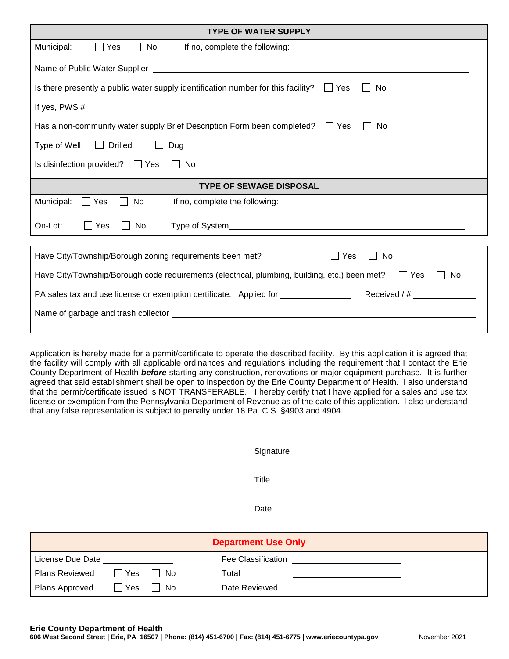| <b>TYPE OF WATER SUPPLY</b>                                                                                                                                                                                                    |  |  |  |  |  |  |  |  |
|--------------------------------------------------------------------------------------------------------------------------------------------------------------------------------------------------------------------------------|--|--|--|--|--|--|--|--|
| Municipal:<br>$\Box$ Yes<br>    No<br>If no, complete the following:                                                                                                                                                           |  |  |  |  |  |  |  |  |
|                                                                                                                                                                                                                                |  |  |  |  |  |  |  |  |
| Is there presently a public water supply identification number for this facility? $\Box$ Yes<br>No                                                                                                                             |  |  |  |  |  |  |  |  |
|                                                                                                                                                                                                                                |  |  |  |  |  |  |  |  |
| Has a non-community water supply Brief Description Form been completed? $\Box$ Yes<br>No                                                                                                                                       |  |  |  |  |  |  |  |  |
| Type of Well: $\Box$ Drilled<br>Dug<br>$\mathbf{L}$                                                                                                                                                                            |  |  |  |  |  |  |  |  |
| Is disinfection provided? $\Box$ Yes<br>No.                                                                                                                                                                                    |  |  |  |  |  |  |  |  |
| <b>TYPE OF SEWAGE DISPOSAL</b>                                                                                                                                                                                                 |  |  |  |  |  |  |  |  |
| $\Box$ Yes<br>Municipal:<br>No<br>If no, complete the following:                                                                                                                                                               |  |  |  |  |  |  |  |  |
| $\Box$ Yes<br>On-Lot:<br>No                                                                                                                                                                                                    |  |  |  |  |  |  |  |  |
| Have City/Township/Borough zoning requirements been met?<br>Yes<br>No                                                                                                                                                          |  |  |  |  |  |  |  |  |
| Have City/Township/Borough code requirements (electrical, plumbing, building, etc.) been met? $\Box$ Yes<br><b>No</b>                                                                                                          |  |  |  |  |  |  |  |  |
|                                                                                                                                                                                                                                |  |  |  |  |  |  |  |  |
| Name of garbage and trash collector expression and the state of the state of the state of the state of the state of the state of the state of the state of the state of the state of the state of the state of the state of th |  |  |  |  |  |  |  |  |
|                                                                                                                                                                                                                                |  |  |  |  |  |  |  |  |

Application is hereby made for a permit/certificate to operate the described facility. By this application it is agreed that the facility will comply with all applicable ordinances and regulations including the requirement that I contact the Erie County Department of Health *before* starting any construction, renovations or major equipment purchase. It is further agreed that said establishment shall be open to inspection by the Erie County Department of Health. I also understand that the permit/certificate issued is NOT TRANSFERABLE. I hereby certify that I have applied for a sales and use tax license or exemption from the Pennsylvania Department of Revenue as of the date of this application. I also understand that any false representation is subject to penalty under 18 Pa. C.S. §4903 and 4904.

| Signature |  |
|-----------|--|
|           |  |

**Title** 

Date

| <b>Department Use Only</b>                                                                                                                                                                                                           |            |        |                    |  |  |  |  |
|--------------------------------------------------------------------------------------------------------------------------------------------------------------------------------------------------------------------------------------|------------|--------|--------------------|--|--|--|--|
| License Due Date <b>Santa Contract Contract Contract Contract Contract Contract Contract Contract Contract Control Contract Contract Contract Contract Contract Contract Contract Contract Contract Contract Contract Contract C</b> |            |        | Fee Classification |  |  |  |  |
| Plans Reviewed                                                                                                                                                                                                                       | Yes     No |        | Total              |  |  |  |  |
| <b>Plans Approved</b>                                                                                                                                                                                                                | $\Box$ Yes | l I No | Date Reviewed      |  |  |  |  |